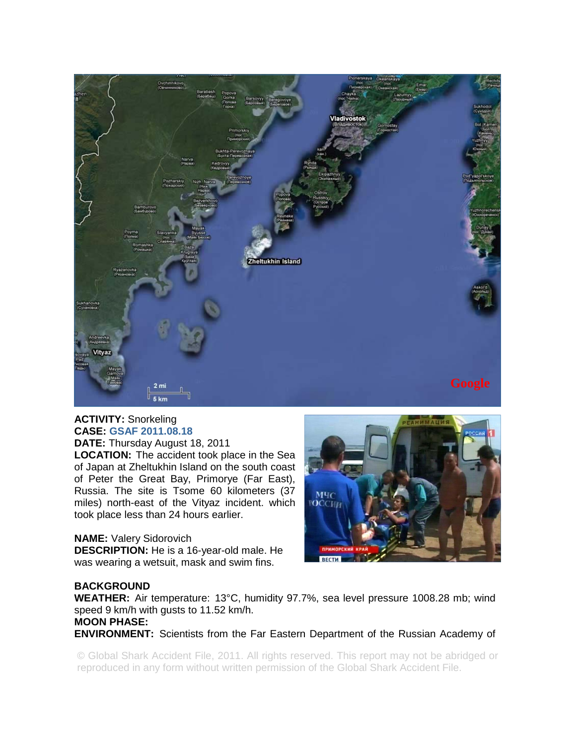

## **ACTIVITY:** Snorkeling **CASE: GSAF 2011.08.18 DATE:** Thursday August 18, 2011

**LOCATION:** The accident took place in the Sea of Japan at Zheltukhin Island on the south coast of Peter the Great Bay, Primorye (Far East), Russia. The site is Tsome 60 kilometers (37 miles) north-east of the Vityaz incident. which took place less than 24 hours earlier.

## **NAME:** Valery Sidorovich

**DESCRIPTION:** He is a 16-year-old male. He was wearing a wetsuit, mask and swim fins.



## **BACKGROUND**

**WEATHER:** Air temperature: 13°C, humidity 97.7%, sea level pressure 1008.28 mb; wind speed 9 km/h with gusts to 11.52 km/h.

**MOON PHASE: ENVIRONMENT:** Scientists from the Far Eastern Department of the Russian Academy of

© Global Shark Accident File, 2011. All rights reserved. This report may not be abridged or reproduced in any form without written permission of the Global Shark Accident File.